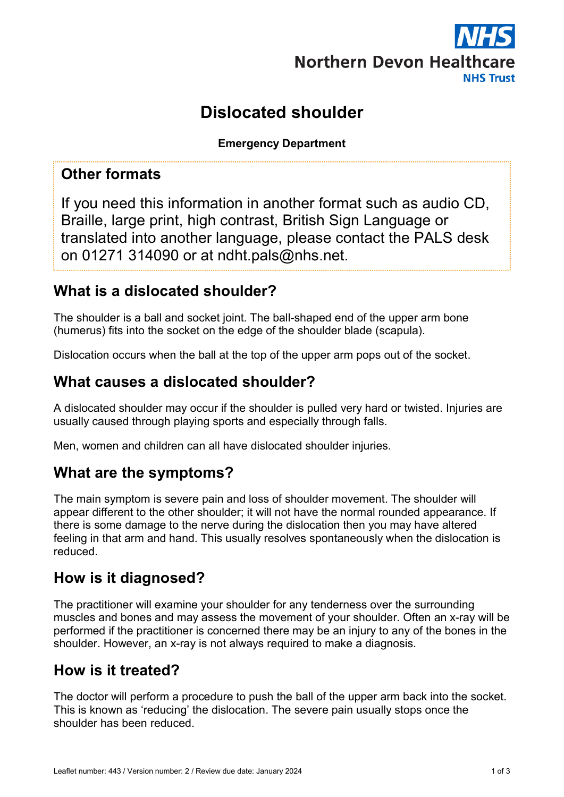

# Dislocated shoulder

Emergency Department

#### Other formats

If you need this information in another format such as audio CD, Braille, large print, high contrast, British Sign Language or translated into another language, please contact the PALS desk on 01271 314090 or at ndht.pals@nhs.net.

# What is a dislocated shoulder?

The shoulder is a ball and socket joint. The ball-shaped end of the upper arm bone (humerus) fits into the socket on the edge of the shoulder blade (scapula).

Dislocation occurs when the ball at the top of the upper arm pops out of the socket.

## What causes a dislocated shoulder?

A dislocated shoulder may occur if the shoulder is pulled very hard or twisted. Injuries are usually caused through playing sports and especially through falls.

Men, women and children can all have dislocated shoulder injuries.

## What are the symptoms?

The main symptom is severe pain and loss of shoulder movement. The shoulder will appear different to the other shoulder; it will not have the normal rounded appearance. If there is some damage to the nerve during the dislocation then you may have altered feeling in that arm and hand. This usually resolves spontaneously when the dislocation is reduced.

## How is it diagnosed?

The practitioner will examine your shoulder for any tenderness over the surrounding muscles and bones and may assess the movement of your shoulder. Often an x-ray will be performed if the practitioner is concerned there may be an injury to any of the bones in the shoulder. However, an x-ray is not always required to make a diagnosis.

#### How is it treated?

The doctor will perform a procedure to push the ball of the upper arm back into the socket. This is known as 'reducing' the dislocation. The severe pain usually stops once the shoulder has been reduced.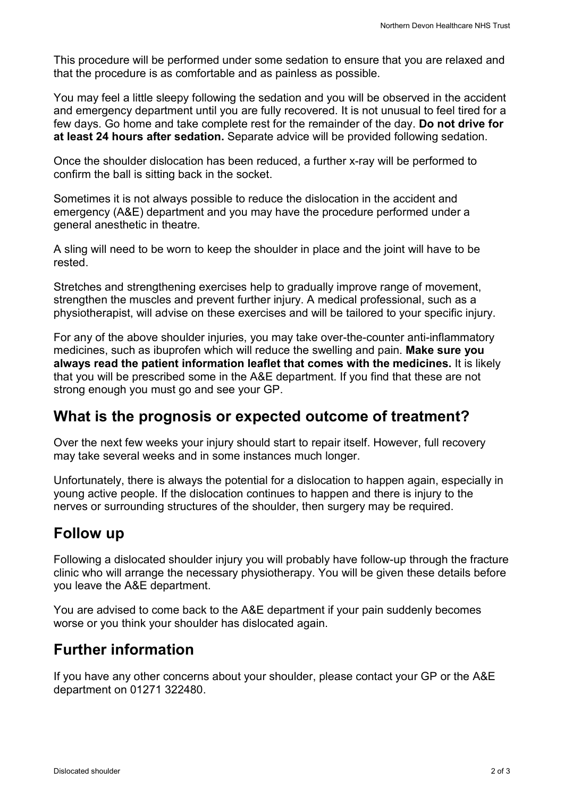This procedure will be performed under some sedation to ensure that you are relaxed and that the procedure is as comfortable and as painless as possible.

You may feel a little sleepy following the sedation and you will be observed in the accident and emergency department until you are fully recovered. It is not unusual to feel tired for a few days. Go home and take complete rest for the remainder of the day. Do not drive for at least 24 hours after sedation. Separate advice will be provided following sedation.

Once the shoulder dislocation has been reduced, a further x-ray will be performed to confirm the ball is sitting back in the socket.

Sometimes it is not always possible to reduce the dislocation in the accident and emergency (A&E) department and you may have the procedure performed under a general anesthetic in theatre.

A sling will need to be worn to keep the shoulder in place and the joint will have to be rested.

Stretches and strengthening exercises help to gradually improve range of movement, strengthen the muscles and prevent further injury. A medical professional, such as a physiotherapist, will advise on these exercises and will be tailored to your specific injury.

For any of the above shoulder injuries, you may take over-the-counter anti-inflammatory medicines, such as ibuprofen which will reduce the swelling and pain. Make sure you always read the patient information leaflet that comes with the medicines. It is likely that you will be prescribed some in the A&E department. If you find that these are not strong enough you must go and see your GP.

## What is the prognosis or expected outcome of treatment?

Over the next few weeks your injury should start to repair itself. However, full recovery may take several weeks and in some instances much longer.

Unfortunately, there is always the potential for a dislocation to happen again, especially in young active people. If the dislocation continues to happen and there is injury to the nerves or surrounding structures of the shoulder, then surgery may be required.

# Follow up

Following a dislocated shoulder injury you will probably have follow-up through the fracture clinic who will arrange the necessary physiotherapy. You will be given these details before you leave the A&E department.

You are advised to come back to the A&E department if your pain suddenly becomes worse or you think your shoulder has dislocated again.

# Further information

If you have any other concerns about your shoulder, please contact your GP or the A&E department on 01271 322480.